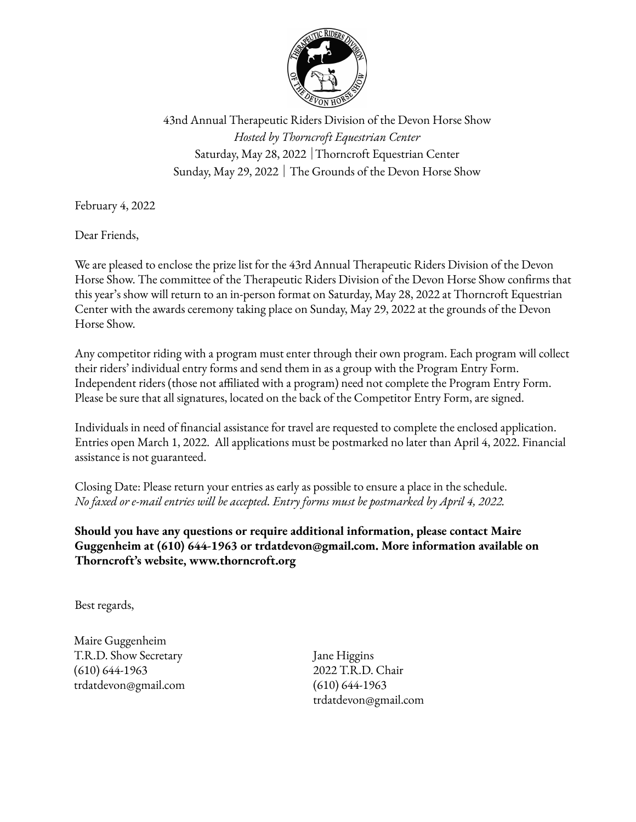

43nd Annual Therapeutic Riders Division of the Devon Horse Show *Hosted by Thorncroft Equestrian Center* Saturday, May 28, 2022 │Thorncroft Equestrian Center Sunday, May 29, 2022 │ The Grounds of the Devon Horse Show

February 4, 2022

Dear Friends,

We are pleased to enclose the prize list for the 43rd Annual Therapeutic Riders Division of the Devon Horse Show. The committee of the Therapeutic Riders Division of the Devon Horse Show confirms that this year's show will return to an in-person format on Saturday, May 28, 2022 at Thorncroft Equestrian Center with the awards ceremony taking place on Sunday, May 29, 2022 at the grounds of the Devon Horse Show.

Any competitor riding with a program must enter through their own program. Each program will collect their riders' individual entry forms and send them in as a group with the Program Entry Form. Independent riders (those not affiliated with a program) need not complete the Program Entry Form. Please be sure that all signatures, located on the back of the Competitor Entry Form, are signed.

Individuals in need of financial assistance for travel are requested to complete the enclosed application. Entries open March 1, 2022. All applications must be postmarked no later than April 4, 2022. Financial assistance is not guaranteed.

Closing Date: Please return your entries as early as possible to ensure a place in the schedule. *No faxed or e-mail entries will be accepted. Entry forms must be postmarked by April 4, 2022.*

**Should you have any questions or require additional information, please contact Maire Guggenheim at (610) 644-1963 or trdatdevon@gmail.com. More information available on Thorncroft's website, www.thorncroft.org**

Best regards,

Maire Guggenheim T.R.D. Show Secretary (610) 644-1963 trdatdevon@gmail.com

Jane Higgins 2022 T.R.D. Chair (610) 644-1963 trdatdevon@gmail.com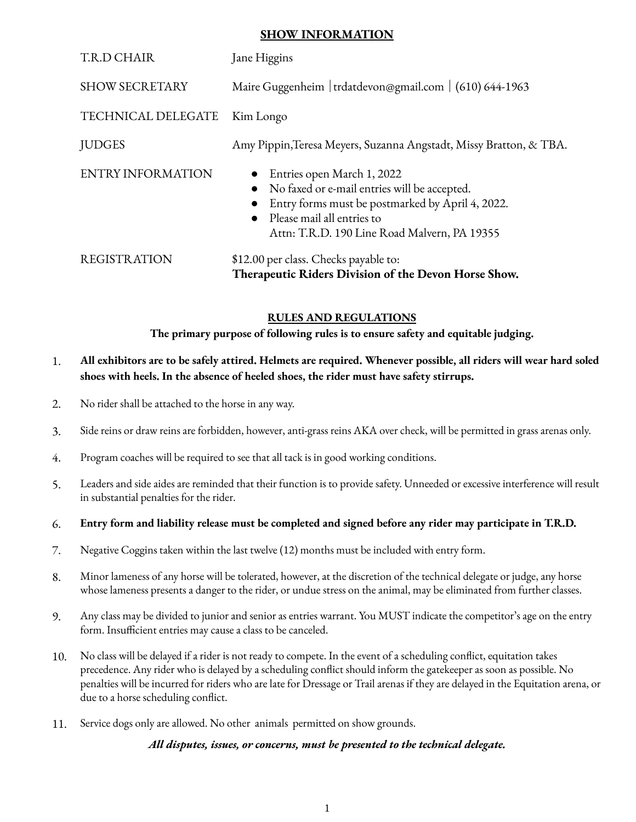## **SHOW INFORMATION**

| T.R.D CHAIR              | Jane Higgins                                                                                                                                                                                                   |  |  |
|--------------------------|----------------------------------------------------------------------------------------------------------------------------------------------------------------------------------------------------------------|--|--|
| <b>SHOW SECRETARY</b>    | Maire Guggenheim   trdatdevon@gmail.com   (610) 644-1963                                                                                                                                                       |  |  |
| TECHNICAL DELEGATE       | Kim Longo                                                                                                                                                                                                      |  |  |
| <b>JUDGES</b>            | Amy Pippin, Teresa Meyers, Suzanna Angstadt, Missy Bratton, & TBA.                                                                                                                                             |  |  |
| <b>ENTRY INFORMATION</b> | Entries open March 1, 2022<br>No faxed or e-mail entries will be accepted.<br>Entry forms must be postmarked by April 4, 2022.<br>• Please mail all entries to<br>Attn: T.R.D. 190 Line Road Malvern, PA 19355 |  |  |
| <b>REGISTRATION</b>      | \$12.00 per class. Checks payable to:<br>Therapeutic Riders Division of the Devon Horse Show.                                                                                                                  |  |  |

## **RULES AND REGULATIONS**

**The primary purpose of following rules is to ensure safety and equitable judging.**

## 1. All exhibitors are to be safely attired. Helmets are required. Whenever possible, all riders will wear hard soled **shoes with heels. In the absence of heeled shoes, the rider must have safety stirrups.**

- 2. No rider shall be attached to the horse in any way.
- 3. Side reins or draw reins are forbidden, however, anti-grass reins AKA over check, will be permitted in grass arenas only.
- 4. Program coaches will be required to see that all tack is in good working conditions.
- 5. Leaders and side aides are reminded that their function is to provide safety. Unneeded or excessive interference will result in substantial penalties for the rider.

#### 6. Entry form and liability release must be completed and signed before any rider may participate in T.R.D.

- 7. Negative Coggins taken within the last twelve (12) months must be included with entry form.
- 8. Minor lameness of any horse will be tolerated, however, at the discretion of the technical delegate or judge, any horse whose lameness presents a danger to the rider, or undue stress on the animal, may be eliminated from further classes.
- 9. Any class may be divided to junior and senior as entries warrant. You MUST indicate the competitor's age on the entry form. Insufficient entries may cause a class to be canceled.
- 10. No class will be delayed if a rider is not ready to compete. In the event of a scheduling conflict, equitation takes precedence. Any rider who is delayed by a scheduling conflict should inform the gatekeeper as soon as possible. No penalties will be incurred for riders who are late for Dressage or Trail arenas if they are delayed in the Equitation arena, or due to a horse scheduling conflict.
- 11. Service dogs only are allowed. No other animals permitted on show grounds.

#### *All disputes, issues, or concerns, must be presented to the technical delegate.*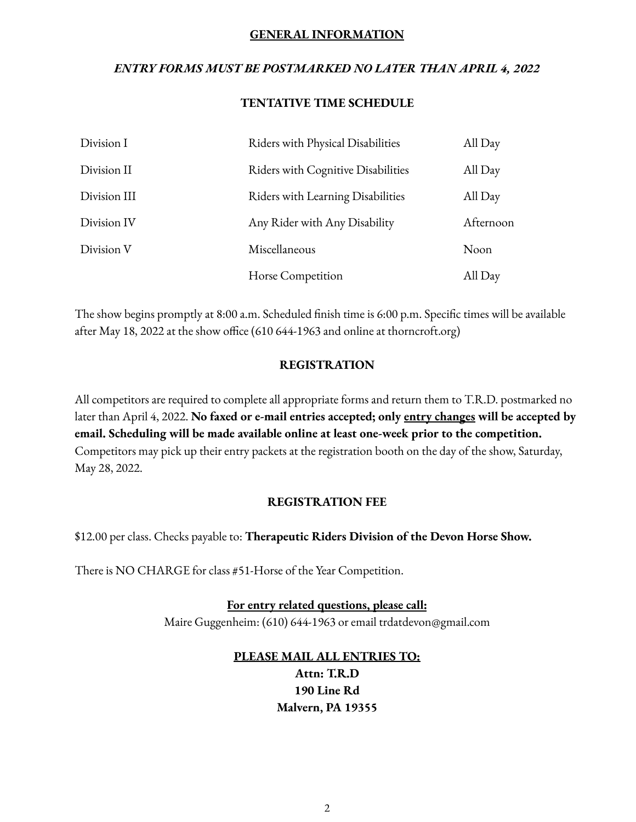## **GENERAL INFORMATION**

# *ENTRY FORMS MUST BE POSTMARKED NO LATER THAN APRIL 4, 2022*

## **TENTATIVE TIME SCHEDULE**

| Division I   | Riders with Physical Disabilities  | All Day   |
|--------------|------------------------------------|-----------|
| Division II  | Riders with Cognitive Disabilities | All Day   |
| Division III | Riders with Learning Disabilities  | All Day   |
| Division IV  | Any Rider with Any Disability      | Afternoon |
| Division V   | Miscellaneous                      | Noon      |
|              | Horse Competition                  | All Day   |

The show begins promptly at 8:00 a.m. Scheduled finish time is 6:00 p.m. Specific times will be available after May 18, 2022 at the show office (610 644-1963 and online at thorncroft.org)

## **REGISTRATION**

All competitors are required to complete all appropriate forms and return them to T.R.D. postmarked no later than April 4, 2022. **No faxed or e-mail entries accepted; only entry changes will be accepted by email. Scheduling will be made available online at least one-week prior to the competition.** Competitors may pick up their entry packets at the registration booth on the day of the show, Saturday, May 28, 2022.

## **REGISTRATION FEE**

\$12.00 per class. Checks payable to: **Therapeutic Riders Division of the Devon Horse Show.**

There is NO CHARGE for class #51-Horse of the Year Competition.

**For entry related questions, please call:** Maire Guggenheim: (610) 644-1963 or email trdatdevon@gmail.com

# **PLEASE MAIL ALL ENTRIES TO:**

**Attn: T.R.D 190 Line Rd Malvern, PA 19355**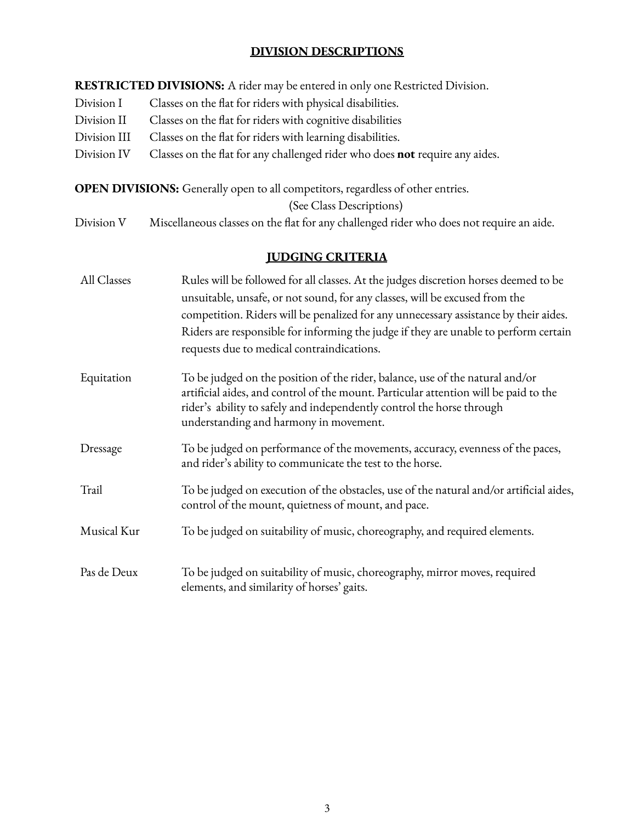# **DIVISION DESCRIPTIONS**

**RESTRICTED DIVISIONS:** A rider may be entered in only one Restricted Division.

- Division I Classes on the flat for riders with physical disabilities.
- Division II Classes on the flat for riders with cognitive disabilities
- Division III Classes on the flat for riders with learning disabilities.
- Division IV Classes on the flat for any challenged rider who does **not** require any aides.

**OPEN DIVISIONS:** Generally open to all competitors, regardless of other entries.

(See Class Descriptions)

Division V Miscellaneous classes on the flat for any challenged rider who does not require an aide.

# **JUDGING CRITERIA**

| All Classes | Rules will be followed for all classes. At the judges discretion horses deemed to be<br>unsuitable, unsafe, or not sound, for any classes, will be excused from the<br>competition. Riders will be penalized for any unnecessary assistance by their aides.<br>Riders are responsible for informing the judge if they are unable to perform certain<br>requests due to medical contraindications. |
|-------------|---------------------------------------------------------------------------------------------------------------------------------------------------------------------------------------------------------------------------------------------------------------------------------------------------------------------------------------------------------------------------------------------------|
| Equitation  | To be judged on the position of the rider, balance, use of the natural and/or<br>artificial aides, and control of the mount. Particular attention will be paid to the<br>rider's ability to safely and independently control the horse through<br>understanding and harmony in movement.                                                                                                          |
| Dressage    | To be judged on performance of the movements, accuracy, evenness of the paces,<br>and rider's ability to communicate the test to the horse.                                                                                                                                                                                                                                                       |
| Trail       | To be judged on execution of the obstacles, use of the natural and/or artificial aides,<br>control of the mount, quietness of mount, and pace.                                                                                                                                                                                                                                                    |
| Musical Kur | To be judged on suitability of music, choreography, and required elements.                                                                                                                                                                                                                                                                                                                        |
| Pas de Deux | To be judged on suitability of music, choreography, mirror moves, required<br>elements, and similarity of horses' gaits.                                                                                                                                                                                                                                                                          |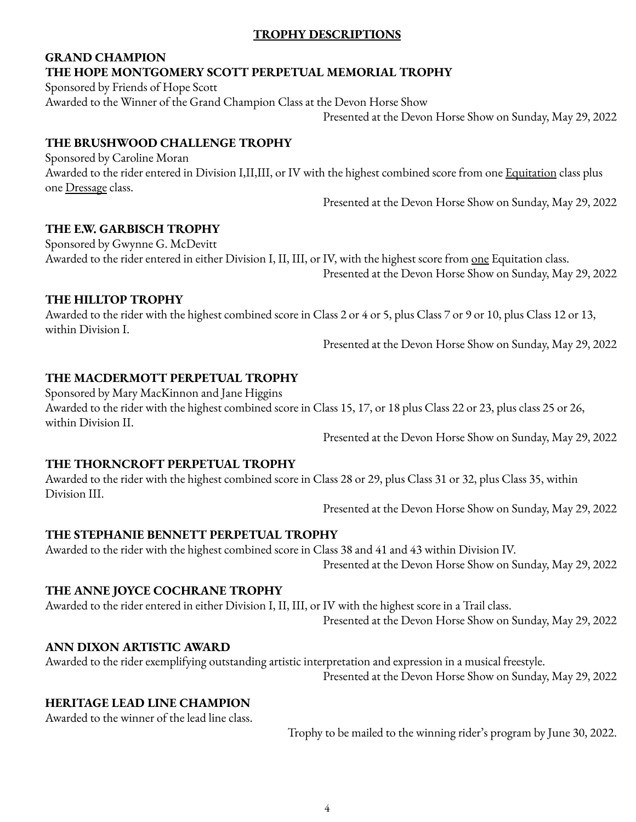## **TROPHY DESCRIPTIONS**

# **GRAND CHAMPION THE HOPE MONTGOMERY SCOTT PERPETUAL MEMORIAL TROPHY**

Sponsored by Friends of Hope Scott Awarded to the Winner of the Grand Champion Class at the Devon Horse Show

Presented at the Devon Horse Show on Sunday, May 29, 2022

# **THE BRUSHWOOD CHALLENGE TROPHY**

Sponsored by Caroline Moran Awarded to the rider entered in Division I,II,III, or IV with the highest combined score from one Equitation class plus one Dressage class.

Presented at the Devon Horse Show on Sunday, May 29, 2022

# **THE E.W. GARBISCH TROPHY**

Sponsored by Gwynne G. McDevitt Awarded to the rider entered in either Division I, II, III, or IV, with the highest score from one Equitation class.

Presented at the Devon Horse Show on Sunday, May 29, 2022

# **THE HILLTOP TROPHY**

Awarded to the rider with the highest combined score in Class 2 or 4 or 5, plus Class 7 or 9 or 10, plus Class 12 or 13, within Division I.

Presented at the Devon Horse Show on Sunday, May 29, 2022

# **THE MACDERMOTT PERPETUAL TROPHY**

Sponsored by Mary MacKinnon and Jane Higgins Awarded to the rider with the highest combined score in Class 15, 17, or 18 plus Class 22 or 23, plus class 25 or 26, within Division II.

Presented at the Devon Horse Show on Sunday, May 29, 2022

## **THE THORNCROFT PERPETUAL TROPHY**

Awarded to the rider with the highest combined score in Class 28 or 29, plus Class 31 or 32, plus Class 35, within Division III.

Presented at the Devon Horse Show on Sunday, May 29, 2022

## **THE STEPHANIE BENNETT PERPETUAL TROPHY**

Awarded to the rider with the highest combined score in Class 38 and 41 and 43 within Division IV. Presented at the Devon Horse Show on Sunday, May 29, 2022

# **THE ANNE JOYCE COCHRANE TROPHY**

Awarded to the rider entered in either Division I, II, III, or IV with the highest score in a Trail class.

Presented at the Devon Horse Show on Sunday, May 29, 2022

# **ANN DIXON ARTISTIC AWARD**

Awarded to the rider exemplifying outstanding artistic interpretation and expression in a musical freestyle. Presented at the Devon Horse Show on Sunday, May 29, 2022

# **HERITAGE LEAD LINE CHAMPION**

Awarded to the winner of the lead line class.

Trophy to be mailed to the winning rider's program by June 30, 2022.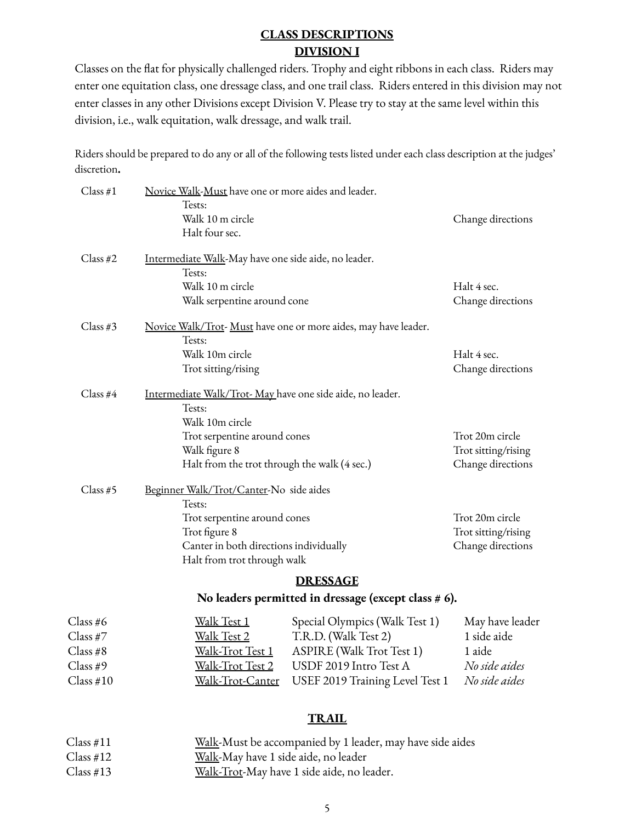# **CLASS DESCRIPTIONS DIVISION I**

Classes on the flat for physically challenged riders. Trophy and eight ribbons in each class. Riders may enter one equitation class, one dressage class, and one trail class. Riders entered in this division may not enter classes in any other Divisions except Division V. Please try to stay at the same level within this division, i.e., walk equitation, walk dressage, and walk trail.

Riders should be prepared to do any or all of the following tests listed under each class description at the judges' discretion**.**

| Class $#1$  | Novice Walk-Must have one or more aides and leader.       |                                                                 |                                  |
|-------------|-----------------------------------------------------------|-----------------------------------------------------------------|----------------------------------|
|             | Tests:<br>Walk 10 m circle                                |                                                                 | Change directions                |
|             | Halt four sec.                                            |                                                                 |                                  |
|             |                                                           |                                                                 |                                  |
| Class $#2$  | Intermediate Walk-May have one side aide, no leader.      |                                                                 |                                  |
|             | Tests:                                                    |                                                                 |                                  |
|             | Walk 10 m circle<br>Walk serpentine around cone           |                                                                 | Halt 4 sec.<br>Change directions |
|             |                                                           |                                                                 |                                  |
| Class #3    |                                                           | Novice Walk/Trot- Must have one or more aides, may have leader. |                                  |
|             | Tests:                                                    |                                                                 |                                  |
|             | Walk 10m circle<br>Trot sitting/rising                    |                                                                 | Halt 4 sec.<br>Change directions |
|             |                                                           |                                                                 |                                  |
| Class $#4$  | Intermediate Walk/Trot-May have one side aide, no leader. |                                                                 |                                  |
|             | Tests:                                                    |                                                                 |                                  |
|             | Walk 10m circle<br>Trot serpentine around cones           |                                                                 | Trot 20m circle                  |
|             | Walk figure 8                                             |                                                                 | Trot sitting/rising              |
|             | Halt from the trot through the walk (4 sec.)              |                                                                 | Change directions                |
| Class $#5$  | Beginner Walk/Trot/Canter-No side aides                   |                                                                 |                                  |
|             | Tests:                                                    |                                                                 |                                  |
|             | Trot serpentine around cones                              |                                                                 | Trot 20m circle                  |
|             | Trot figure 8                                             |                                                                 | Trot sitting/rising              |
|             | Canter in both directions individually                    |                                                                 | Change directions                |
|             | Halt from trot through walk                               |                                                                 |                                  |
|             |                                                           | <b>DRESSAGE</b>                                                 |                                  |
|             |                                                           | No leaders permitted in dressage (except class $# 6$ ).         |                                  |
| Class #6    | <u>Walk Test 1</u>                                        | Special Olympics (Walk Test 1)                                  | May have leader                  |
| Class #7    | Walk Test 2                                               | T.R.D. (Walk Test 2)                                            | 1 side aide                      |
| Class #8    | Walk-Trot Test 1                                          | <b>ASPIRE</b> (Walk Trot Test 1)                                | 1 aide                           |
| Class#9     | Walk-Trot Test 2                                          | USDF 2019 Intro Test A                                          | No side aides                    |
| Class $#10$ | Walk-Trot-Canter                                          | USEF 2019 Training Level Test 1                                 | No side aides                    |
|             |                                                           |                                                                 |                                  |
|             |                                                           | <b>TRAIL</b>                                                    |                                  |

| Class #11 | Walk-Must be accompanied by 1 leader, may have side aides |
|-----------|-----------------------------------------------------------|
| Class #12 | Walk-May have 1 side aide, no leader                      |
| Class #13 | Walk-Trot-May have 1 side aide, no leader.                |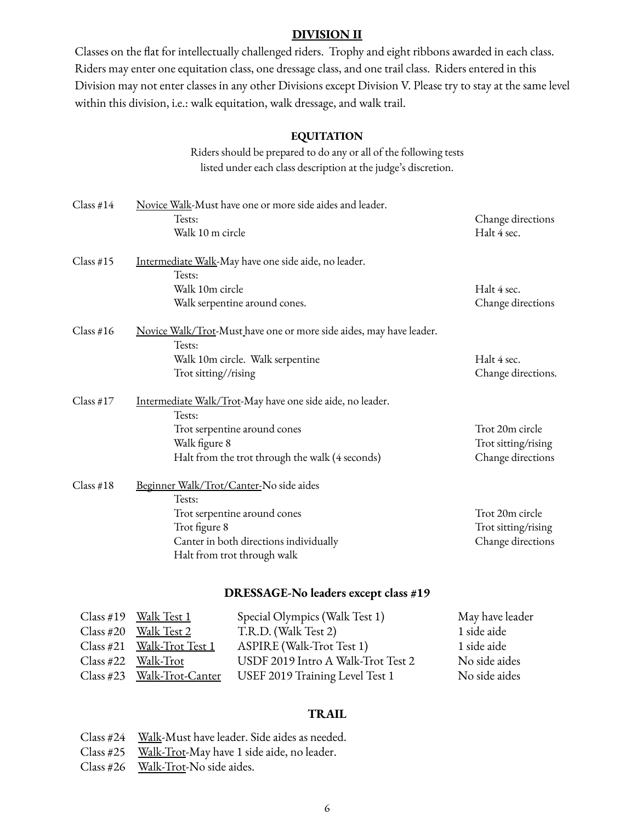#### **DIVISION II**

Classes on the flat for intellectually challenged riders. Trophy and eight ribbons awarded in each class. Riders may enter one equitation class, one dressage class, and one trail class. Riders entered in this Division may not enter classes in any other Divisions except Division V. Please try to stay at the same level within this division, i.e.: walk equitation, walk dressage, and walk trail.

#### **EQUITATION**

Riders should be prepared to do any or all of the following tests listed under each class description at the judge's discretion.

| Class #14   | Novice Walk-Must have one or more side aides and leader.                      |                     |  |
|-------------|-------------------------------------------------------------------------------|---------------------|--|
|             | Tests:                                                                        | Change directions   |  |
|             | Walk 10 m circle                                                              | Halt 4 sec.         |  |
| Class #15   | Intermediate Walk-May have one side aide, no leader.                          |                     |  |
|             | Tests:                                                                        |                     |  |
|             | Walk 10m circle                                                               | Halt 4 sec.         |  |
|             | Walk serpentine around cones.                                                 | Change directions   |  |
| Class #16   | Novice Walk/Trot-Must have one or more side aides, may have leader.<br>Tests: |                     |  |
|             | Walk 10m circle. Walk serpentine                                              | Halt 4 sec.         |  |
|             | Trot sitting//rising                                                          | Change directions.  |  |
| Class $#17$ | Intermediate Walk/Trot-May have one side aide, no leader.                     |                     |  |
|             | Tests:                                                                        |                     |  |
|             | Trot serpentine around cones                                                  | Trot 20m circle     |  |
|             | Walk figure 8                                                                 | Trot sitting/rising |  |
|             | Halt from the trot through the walk (4 seconds)                               | Change directions   |  |
| Class #18   | Beginner Walk/Trot/Canter-No side aides                                       |                     |  |
|             | Tests:                                                                        |                     |  |
|             | Trot serpentine around cones                                                  | Trot 20m circle     |  |
|             | Trot figure 8                                                                 | Trot sitting/rising |  |
|             | Canter in both directions individually                                        | Change directions   |  |
|             | Halt from trot through walk                                                   |                     |  |
|             | DRESSAGE-No leaders except class #19                                          |                     |  |
|             |                                                                               |                     |  |

#### Special Olympics (Walk Test 1) May have leader

| Class #19 Walk Test $1$    | Special Olympics (Walk Test 1)     | May have leader |
|----------------------------|------------------------------------|-----------------|
| $Class #20$ Walk Test 2    | T.R.D. (Walk Test 2)               | 1 side aide     |
| Class #21 Walk-Trot Test 1 | ASPIRE (Walk-Trot Test 1)          | 1 side aide     |
| $Class #22$ Walk-Trot      | USDF 2019 Intro A Walk-Trot Test 2 | No side aides   |
| Class #23 Walk-Trot-Canter | USEF 2019 Training Level Test 1    | No side aides   |

## **TRAIL**

Class #24 <u>Walk</u>-Must have leader. Side aides as needed.

Class #25 Walk-Trot-May have 1 side aide, no leader.

Class #26 <u>Walk-Trot</u>-No side aides.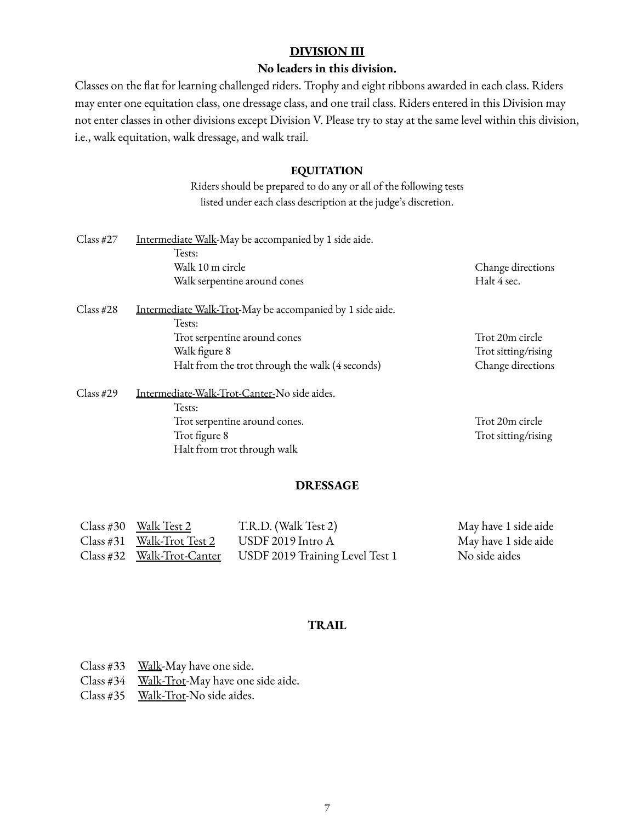### **DIVISION III**

### **No leaders in this division.**

Classes on the flat for learning challenged riders. Trophy and eight ribbons awarded in each class. Riders may enter one equitation class, one dressage class, and one trail class. Riders entered in this Division may not enter classes in other divisions except Division V. Please try to stay at the same level within this division, i.e., walk equitation, walk dressage, and walk trail.

#### **EQUITATION**

Riders should be prepared to do any or all of the following tests listed under each class description at the judge's discretion.

| $Class \#27$ | Intermediate Walk-May be accompanied by 1 side aide.<br>Tests:<br>Walk 10 m circle<br>Walk serpentine around cones                                                      | Change directions<br>Halt 4 sec.                            |
|--------------|-------------------------------------------------------------------------------------------------------------------------------------------------------------------------|-------------------------------------------------------------|
| $Class \#28$ | Intermediate Walk-Trot-May be accompanied by 1 side aide.<br>Tests:<br>Trot serpentine around cones<br>Walk figure 8<br>Halt from the trot through the walk (4 seconds) | Trot 20m circle<br>Trot sitting/rising<br>Change directions |
| Class #29    | Intermediate-Walk-Trot-Canter-No side aides.<br>Tests:<br>Trot serpentine around cones.<br>Trot figure 8<br>Halt from trot through walk                                 | Trot 20m circle<br>Trot sitting/rising                      |

### **DRESSAGE**

| Class #30 Walk Test 2        | T.R.D. (Walk Test 2)            | May have 1 side aide |
|------------------------------|---------------------------------|----------------------|
| $Class #31$ Walk-Trot Test 2 | USDF 2019 Intro A               | May have 1 side aide |
| Class #32 Walk-Trot-Canter   | USDF 2019 Training Level Test 1 | No side aides        |

#### **TRAIL**

- Class #33 Walk-May have one side.
- Class #34 Walk-Trot-May have one side aide.
- Class #35 Walk-Trot-No side aides.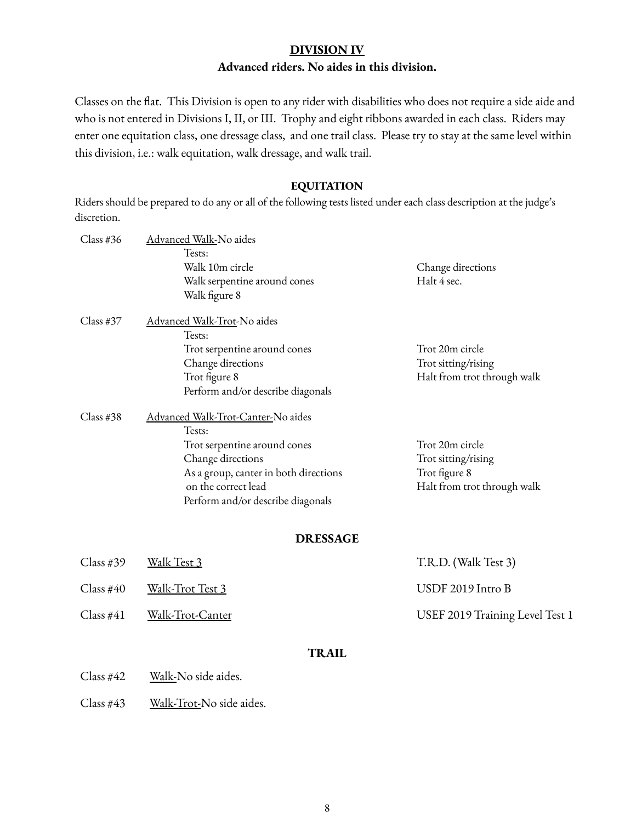#### **DIVISION IV**

#### **Advanced riders. No aides in this division.**

Classes on the flat. This Division is open to any rider with disabilities who does not require a side aide and who is not entered in Divisions I, II, or III. Trophy and eight ribbons awarded in each class. Riders may enter one equitation class, one dressage class, and one trail class. Please try to stay at the same level within this division, i.e.: walk equitation, walk dressage, and walk trail.

#### **EQUITATION**

Riders should be prepared to do any or all of the following tests listed under each class description at the judge's discretion.

| Class #36 | Advanced Walk-No aides                |                             |
|-----------|---------------------------------------|-----------------------------|
|           | Tests:                                |                             |
|           | Walk 10m circle                       | Change directions           |
|           | Walk serpentine around cones          | Halt 4 sec.                 |
|           | Walk figure 8                         |                             |
| Class #37 | Advanced Walk-Trot-No aides           |                             |
|           | Tests:                                |                             |
|           | Trot serpentine around cones          | Trot 20m circle             |
|           | Change directions                     | Trot sitting/rising         |
|           | Trot figure 8                         | Halt from trot through walk |
|           | Perform and/or describe diagonals     |                             |
| Class #38 | Advanced Walk-Trot-Canter-No aides    |                             |
|           | Tests:                                |                             |
|           | Trot serpentine around cones          | Trot 20m circle             |
|           | Change directions                     | Trot sitting/rising         |
|           | As a group, canter in both directions | Trot figure 8               |
|           | on the correct lead                   | Halt from trot through walk |
|           | Perform and/or describe diagonals     |                             |
|           | <b>DRESSAGE</b>                       |                             |
| Class #39 | Walk Test 3                           | T.R.D. (Walk Test 3)        |
| Class #40 | Walk-Trot Test 3                      | USDF 2019 Intro B           |

#### Class #41 Walk-Trot-Canter Canter USEF 2019 Training Level Test 1

### **TRAIL**

- Class #42 Walk-No side aides.
- Class #43 Walk-Trot-No side aides.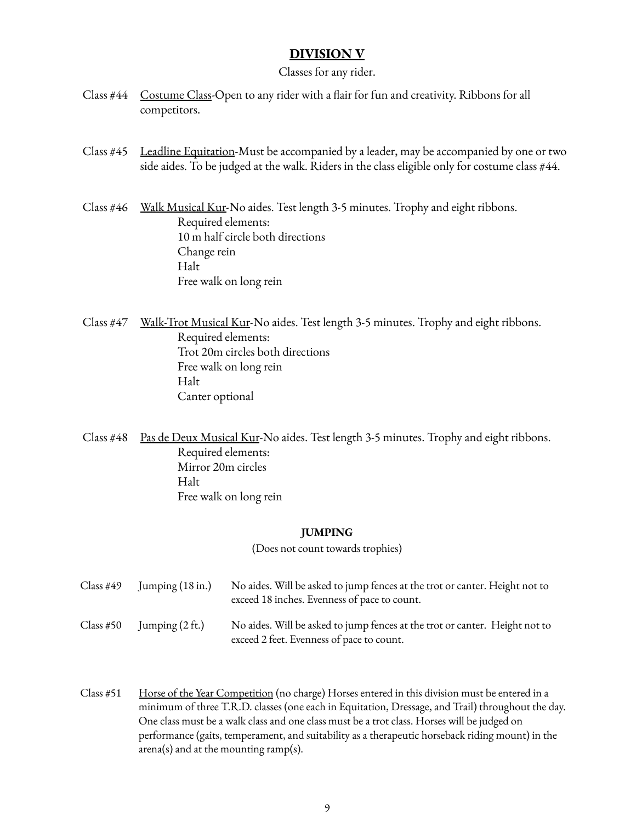## **DIVISION V**

#### Classes for any rider.

- Class #44 Costume Class-Open to any rider with a flair for fun and creativity. Ribbons for all competitors.
- Class #45 Leadline Equitation-Must be accompanied by a leader, may be accompanied by one or two side aides. To be judged at the walk. Riders in the class eligible only for costume class #44.

Class #46 Walk Musical Kur-No aides. Test length 3-5 minutes. Trophy and eight ribbons. Required elements: 10 m half circle both directions Change rein Halt Free walk on long rein

- Class #47 Walk-Trot Musical Kur-No aides. Test length 3-5 minutes. Trophy and eight ribbons. Required elements: Trot 20m circles both directions Free walk on long rein Halt Canter optional
- Class #48 Pas de Deux Musical Kur-No aides. Test length 3-5 minutes. Trophy and eight ribbons. Required elements: Mirror 20m circles Halt Free walk on long rein

#### **JUMPING**

(Does not count towards trophies)

| Class #49 | Jumping $(18 \text{ in.})$ | No aides. Will be asked to jump fences at the trot or canter. Height not to<br>exceed 18 inches. Evenness of pace to count. |
|-----------|----------------------------|-----------------------------------------------------------------------------------------------------------------------------|
| Class #50 | Jumping $(2 \text{ ft.})$  | No aides. Will be asked to jump fences at the trot or canter. Height not to<br>exceed 2 feet. Evenness of pace to count.    |

Class #51 Horse of the Year Competition (no charge) Horses entered in this division must be entered in a minimum of three T.R.D. classes (one each in Equitation, Dressage, and Trail) throughout the day. One class must be a walk class and one class must be a trot class. Horses will be judged on performance (gaits, temperament, and suitability as a therapeutic horseback riding mount) in the arena(s) and at the mounting ramp(s).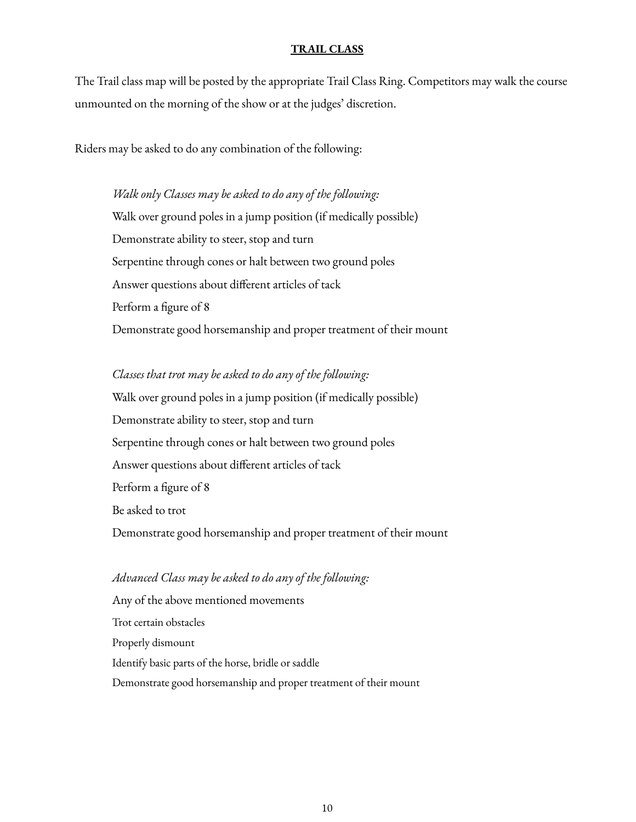#### **TRAIL CLASS**

The Trail class map will be posted by the appropriate Trail Class Ring. Competitors may walk the course unmounted on the morning of the show or at the judges' discretion.

Riders may be asked to do any combination of the following:

*Walk only Classes may be asked to do any of the following:* Walk over ground poles in a jump position (if medically possible) Demonstrate ability to steer, stop and turn Serpentine through cones or halt between two ground poles Answer questions about different articles of tack Perform a figure of 8 Demonstrate good horsemanship and proper treatment of their mount

*Classes that trot may be asked to do any of the following:* Walk over ground poles in a jump position (if medically possible) Demonstrate ability to steer, stop and turn Serpentine through cones or halt between two ground poles Answer questions about different articles of tack Perform a figure of 8 Be asked to trot Demonstrate good horsemanship and proper treatment of their mount

# *Advanced Class may be asked to do any of the following:* Any of the above mentioned movements Trot certain obstacles Properly dismount Identify basic parts of the horse, bridle or saddle Demonstrate good horsemanship and proper treatment of their mount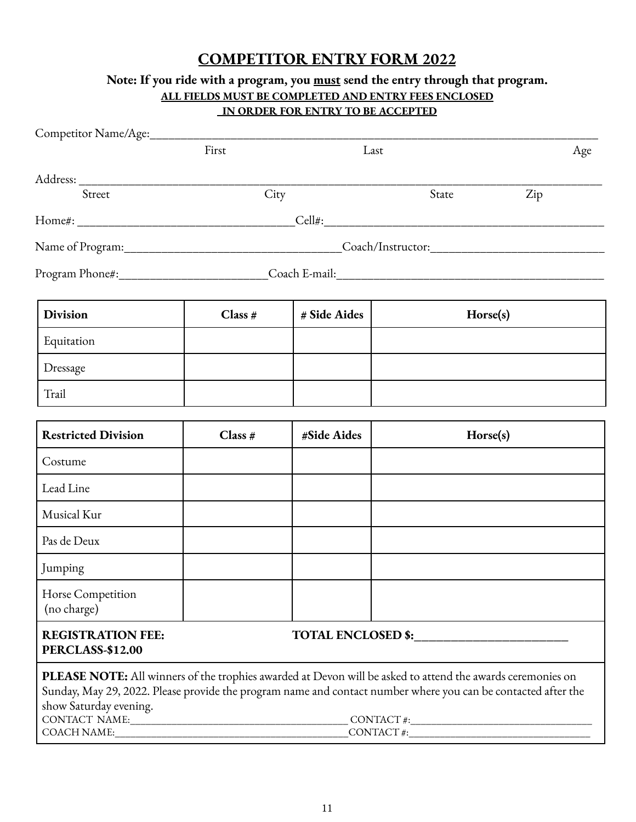# **COMPETITOR ENTRY FORM 2022**

# **Note: If you ride with a program, you must send the entry through that program. ALL FIELDS MUST BE COMPLETED AND ENTRY FEES ENCLOSED IN ORDER FOR ENTRY TO BE ACCEPTED**

| Competitor Name/Age:___________                                                                                                                                                                                                                                                                                                                                                                                                                                                                                                                                                                                                                                                                                                                              |           |              |                      |     |
|--------------------------------------------------------------------------------------------------------------------------------------------------------------------------------------------------------------------------------------------------------------------------------------------------------------------------------------------------------------------------------------------------------------------------------------------------------------------------------------------------------------------------------------------------------------------------------------------------------------------------------------------------------------------------------------------------------------------------------------------------------------|-----------|--------------|----------------------|-----|
|                                                                                                                                                                                                                                                                                                                                                                                                                                                                                                                                                                                                                                                                                                                                                              | First     | Last         |                      | Age |
|                                                                                                                                                                                                                                                                                                                                                                                                                                                                                                                                                                                                                                                                                                                                                              |           |              |                      |     |
| Street                                                                                                                                                                                                                                                                                                                                                                                                                                                                                                                                                                                                                                                                                                                                                       | City      |              | State                | Zip |
|                                                                                                                                                                                                                                                                                                                                                                                                                                                                                                                                                                                                                                                                                                                                                              |           |              |                      |     |
|                                                                                                                                                                                                                                                                                                                                                                                                                                                                                                                                                                                                                                                                                                                                                              |           |              |                      |     |
|                                                                                                                                                                                                                                                                                                                                                                                                                                                                                                                                                                                                                                                                                                                                                              |           |              |                      |     |
| <b>Division</b>                                                                                                                                                                                                                                                                                                                                                                                                                                                                                                                                                                                                                                                                                                                                              | Class $#$ | # Side Aides | Horse(s)             |     |
| Equitation                                                                                                                                                                                                                                                                                                                                                                                                                                                                                                                                                                                                                                                                                                                                                   |           |              |                      |     |
| Dressage                                                                                                                                                                                                                                                                                                                                                                                                                                                                                                                                                                                                                                                                                                                                                     |           |              |                      |     |
| Trail                                                                                                                                                                                                                                                                                                                                                                                                                                                                                                                                                                                                                                                                                                                                                        |           |              |                      |     |
|                                                                                                                                                                                                                                                                                                                                                                                                                                                                                                                                                                                                                                                                                                                                                              |           |              |                      |     |
| <b>Restricted Division</b>                                                                                                                                                                                                                                                                                                                                                                                                                                                                                                                                                                                                                                                                                                                                   | Class #   | #Side Aides  | Horse(s)             |     |
| Costume                                                                                                                                                                                                                                                                                                                                                                                                                                                                                                                                                                                                                                                                                                                                                      |           |              |                      |     |
| Lead Line                                                                                                                                                                                                                                                                                                                                                                                                                                                                                                                                                                                                                                                                                                                                                    |           |              |                      |     |
| Musical Kur                                                                                                                                                                                                                                                                                                                                                                                                                                                                                                                                                                                                                                                                                                                                                  |           |              |                      |     |
| Pas de Deux                                                                                                                                                                                                                                                                                                                                                                                                                                                                                                                                                                                                                                                                                                                                                  |           |              |                      |     |
| Jumping                                                                                                                                                                                                                                                                                                                                                                                                                                                                                                                                                                                                                                                                                                                                                      |           |              |                      |     |
| Horse Competition<br>(no charge)                                                                                                                                                                                                                                                                                                                                                                                                                                                                                                                                                                                                                                                                                                                             |           |              |                      |     |
| <b>REGISTRATION FEE:</b><br><b>PERCLASS-\$12.00</b>                                                                                                                                                                                                                                                                                                                                                                                                                                                                                                                                                                                                                                                                                                          |           |              | TOTAL ENCLOSED \$:   |     |
| <b>PLEASE NOTE:</b> All winners of the trophies awarded at Devon will be asked to attend the awards ceremonies on<br>Sunday, May 29, 2022. Please provide the program name and contact number where you can be contacted after the<br>show Saturday evening.<br>$CONTACT NAME: \begin{tabular}{@{}c@{}} \hline \multicolumn{3}{c}{\textbf{CONTACT}} \#: & \multicolumn{3}{c}{\textbf{CONTACT}} \#: & \multicolumn{3}{c}{\textbf{CONTACT}} \#: & \multicolumn{3}{c}{\textbf{CONTACT}} \#: & \multicolumn{3}{c}{\textbf{CONTACT}} \#: & \multicolumn{3}{c}{\textbf{CONTACT}} \#: & \multicolumn{3}{c}{\textbf{CONTACT}} \#: & \multicolumn{3}{c}{\textbf{CONTACT}} \#: & \multicolumn{3}{c}{\textbf{CONTACT}} \#: & \multicolumn{3}{c}{\textbf$<br>COACH NAME: |           |              | $\text{CONTACT}\#$ : |     |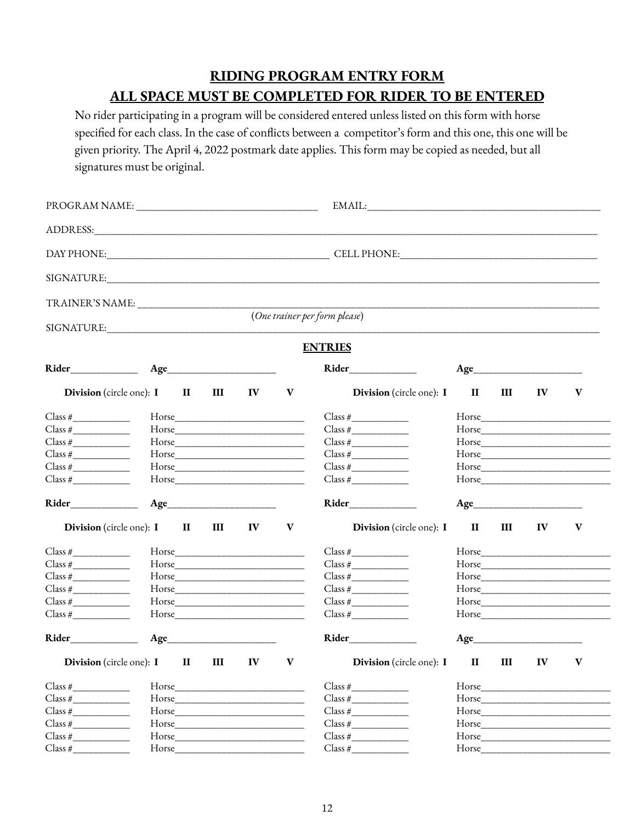# **RIDING PROGRAM ENTRY FORM ALL SPACE MUST BE COMPLETED FOR RIDER TO BE ENTERED**

No rider participating in a program will be considered entered unless listed on this form with horse specified for each class. In the case of conflicts between a competitor's form and this one, this one will be given priority. The April 4, 2022 postmark date applies. This form may be copied as needed, but all signatures must be original.

| ADDRESS: No. 1999                                     |        |              |   |            |              |                                                      |              |   |               |       |
|-------------------------------------------------------|--------|--------------|---|------------|--------------|------------------------------------------------------|--------------|---|---------------|-------|
|                                                       |        |              |   |            |              |                                                      |              |   |               |       |
|                                                       |        |              |   |            |              |                                                      |              |   |               |       |
|                                                       |        |              |   |            |              |                                                      |              |   |               |       |
|                                                       |        |              |   |            |              | (One trainer per form please)                        |              |   |               |       |
|                                                       |        |              |   |            |              | <b>ENTRIES</b>                                       |              |   |               |       |
|                                                       |        |              |   |            |              | Rider                                                |              |   |               |       |
| <b>Division</b> (circle one): I                       |        | $\mathbf{H}$ | Ш | IV         | $\mathbf{V}$ | <b>Division</b> (circle one): <b>I</b>               | $\mathbf{I}$ | Ш | IV            | V     |
| $Class \#$                                            |        |              |   |            |              | $Class \#$                                           |              |   |               |       |
| Class #                                               |        |              |   |            |              | Class #                                              |              |   |               |       |
| $Class \#$                                            |        |              |   |            |              | $Class \#$                                           |              |   |               | Horse |
| $Class \#$                                            |        |              |   |            |              |                                                      |              |   |               |       |
| $Class \#$                                            |        |              |   |            |              |                                                      |              |   |               |       |
| $Class \#$                                            |        |              |   |            |              | Class #                                              |              |   |               |       |
| Rider______________                                   |        |              |   | Age        |              | Rider______________                                  |              |   |               |       |
| <b>Division</b> (circle one): <b>I II</b>             |        |              | Ш | ${\bf IV}$ | V            | <b>Division</b> (circle one): I                      | $\mathbf{I}$ | Ш | $\mathbf{IV}$ | V     |
| $Class \#$                                            |        |              |   |            |              | $Class \#$                                           |              |   |               |       |
|                                                       |        |              |   |            |              |                                                      |              |   |               |       |
|                                                       |        |              |   |            |              | Class #                                              |              |   |               |       |
|                                                       |        |              |   |            |              |                                                      |              |   |               |       |
|                                                       |        |              |   |            |              |                                                      |              |   |               |       |
| Class #                                               |        |              |   |            |              | Class #                                              |              |   |               |       |
|                                                       |        |              |   |            |              | Rider                                                |              |   | Age           |       |
| <b>Division</b> (circle one): $I$ $II$ $III$ $IV$ $V$ |        |              |   |            |              | <b>Division</b> (circle one): $I$ <b>II III IV V</b> |              |   |               |       |
| $Class \#$                                            |        |              |   |            |              |                                                      |              |   |               |       |
| Class #                                               |        |              |   |            |              | Class #                                              |              |   |               |       |
|                                                       |        |              |   |            |              | Class #                                              |              |   |               |       |
| Class #                                               |        |              |   |            |              | Class #                                              |              |   |               |       |
| Class #                                               |        |              |   |            |              | Class #                                              |              |   |               |       |
| Class #                                               | Horse_ |              |   |            |              | $Class \#$                                           | Horse        |   |               |       |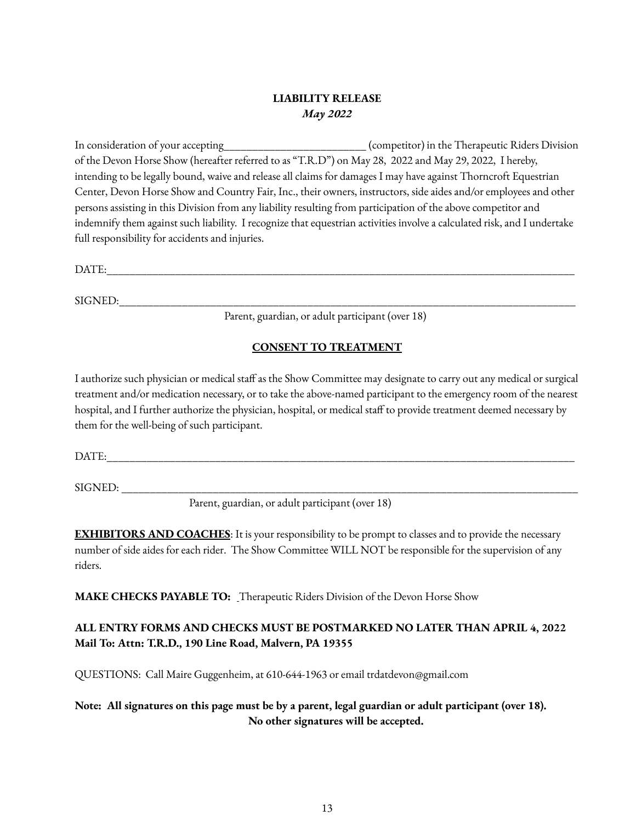## **LIABILITY RELEASE** *May 2022*

In consideration of your accepting\_\_\_\_\_\_\_\_\_\_\_\_\_\_\_\_\_\_\_\_\_\_\_\_\_ (competitor) in the Therapeutic Riders Division of the Devon Horse Show (hereafter referred to as "T.R.D") on May 28, 2022 and May 29, 2022, I hereby, intending to be legally bound, waive and release all claims for damages I may have against Thorncroft Equestrian Center, Devon Horse Show and Country Fair, Inc., their owners, instructors, side aides and/or employees and other persons assisting in this Division from any liability resulting from participation of the above competitor and indemnify them against such liability. I recognize that equestrian activities involve a calculated risk, and I undertake full responsibility for accidents and injuries.

DATE:

 $SIGNED:$ 

Parent, guardian, or adult participant (over 18)

## **CONSENT TO TREATMENT**

I authorize such physician or medical staff as the Show Committee may designate to carry out any medical or surgical treatment and/or medication necessary, or to take the above-named participant to the emergency room of the nearest hospital, and I further authorize the physician, hospital, or medical staff to provide treatment deemed necessary by them for the well-being of such participant.

DATE:

SIGNED:

Parent, guardian, or adult participant (over 18)

**EXHIBITORS AND COACHES**: It is your responsibility to be prompt to classes and to provide the necessary number of side aides for each rider. The Show Committee WILL NOT be responsible for the supervision of any riders.

**MAKE CHECKS PAYABLE TO:** Therapeutic Riders Division of the Devon Horse Show

# **ALL ENTRY FORMS AND CHECKS MUST BE POSTMARKED NO LATER THAN APRIL 4, 2022 Mail To: Attn: T.R.D., 190 Line Road, Malvern, PA 19355**

QUESTIONS: Call Maire Guggenheim, at 610-644-1963 or email trdatdevon@gmail.com

## Note: All signatures on this page must be by a parent, legal guardian or adult participant (over 18). **No other signatures will be accepted.**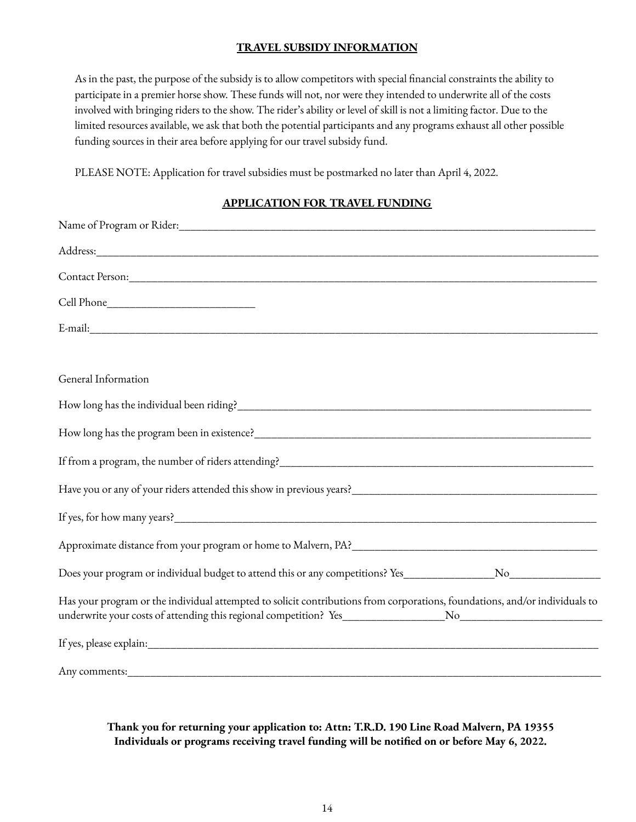#### **TRAVEL SUBSIDY INFORMATION**

As in the past, the purpose of the subsidy is to allow competitors with special financial constraints the ability to participate in a premier horse show. These funds will not, nor were they intended to underwrite all of the costs involved with bringing riders to the show. The rider's ability or level of skill is not a limiting factor. Due to the limited resources available, we ask that both the potential participants and any programs exhaust all other possible funding sources in their area before applying for our travel subsidy fund.

PLEASE NOTE: Application for travel subsidies must be postmarked no later than April 4, 2022.

### **APPLICATION FOR TRAVEL FUNDING**

| General Information                                                                                                         |
|-----------------------------------------------------------------------------------------------------------------------------|
|                                                                                                                             |
|                                                                                                                             |
|                                                                                                                             |
|                                                                                                                             |
|                                                                                                                             |
|                                                                                                                             |
|                                                                                                                             |
| Has your program or the individual attempted to solicit contributions from corporations, foundations, and/or individuals to |
|                                                                                                                             |
|                                                                                                                             |

**Thank you for returning your application to: Attn: T.R.D. 190 Line Road Malvern, PA 19355 Individuals or programs receiving travel funding will be notified on or before May 6, 2022.**